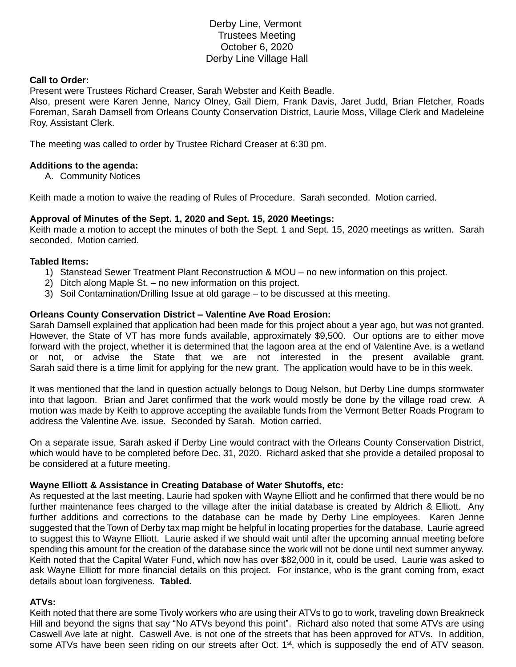# Derby Line, Vermont Trustees Meeting October 6, 2020 Derby Line Village Hall

### **Call to Order:**

Present were Trustees Richard Creaser, Sarah Webster and Keith Beadle.

Also, present were Karen Jenne, Nancy Olney, Gail Diem, Frank Davis, Jaret Judd, Brian Fletcher, Roads Foreman, Sarah Damsell from Orleans County Conservation District, Laurie Moss, Village Clerk and Madeleine Roy, Assistant Clerk.

The meeting was called to order by Trustee Richard Creaser at 6:30 pm.

## **Additions to the agenda:**

A. Community Notices

Keith made a motion to waive the reading of Rules of Procedure. Sarah seconded. Motion carried.

## **Approval of Minutes of the Sept. 1, 2020 and Sept. 15, 2020 Meetings:**

Keith made a motion to accept the minutes of both the Sept. 1 and Sept. 15, 2020 meetings as written. Sarah seconded. Motion carried.

#### **Tabled Items:**

- 1) Stanstead Sewer Treatment Plant Reconstruction & MOU no new information on this project.
- 2) Ditch along Maple St. no new information on this project.
- 3) Soil Contamination/Drilling Issue at old garage to be discussed at this meeting.

## **Orleans County Conservation District – Valentine Ave Road Erosion:**

Sarah Damsell explained that application had been made for this project about a year ago, but was not granted. However, the State of VT has more funds available, approximately \$9,500. Our options are to either move forward with the project, whether it is determined that the lagoon area at the end of Valentine Ave. is a wetland or not, or advise the State that we are not interested in the present available grant. Sarah said there is a time limit for applying for the new grant. The application would have to be in this week.

It was mentioned that the land in question actually belongs to Doug Nelson, but Derby Line dumps stormwater into that lagoon. Brian and Jaret confirmed that the work would mostly be done by the village road crew. A motion was made by Keith to approve accepting the available funds from the Vermont Better Roads Program to address the Valentine Ave. issue. Seconded by Sarah. Motion carried.

On a separate issue, Sarah asked if Derby Line would contract with the Orleans County Conservation District, which would have to be completed before Dec. 31, 2020. Richard asked that she provide a detailed proposal to be considered at a future meeting.

#### **Wayne Elliott & Assistance in Creating Database of Water Shutoffs, etc:**

As requested at the last meeting, Laurie had spoken with Wayne Elliott and he confirmed that there would be no further maintenance fees charged to the village after the initial database is created by Aldrich & Elliott. Any further additions and corrections to the database can be made by Derby Line employees. Karen Jenne suggested that the Town of Derby tax map might be helpful in locating properties for the database. Laurie agreed to suggest this to Wayne Elliott. Laurie asked if we should wait until after the upcoming annual meeting before spending this amount for the creation of the database since the work will not be done until next summer anyway. Keith noted that the Capital Water Fund, which now has over \$82,000 in it, could be used. Laurie was asked to ask Wayne Elliott for more financial details on this project. For instance, who is the grant coming from, exact details about loan forgiveness. **Tabled.**

## **ATVs:**

Keith noted that there are some Tivoly workers who are using their ATVs to go to work, traveling down Breakneck Hill and beyond the signs that say "No ATVs beyond this point". Richard also noted that some ATVs are using Caswell Ave late at night. Caswell Ave. is not one of the streets that has been approved for ATVs. In addition, some ATVs have been seen riding on our streets after Oct. 1<sup>st</sup>, which is supposedly the end of ATV season.